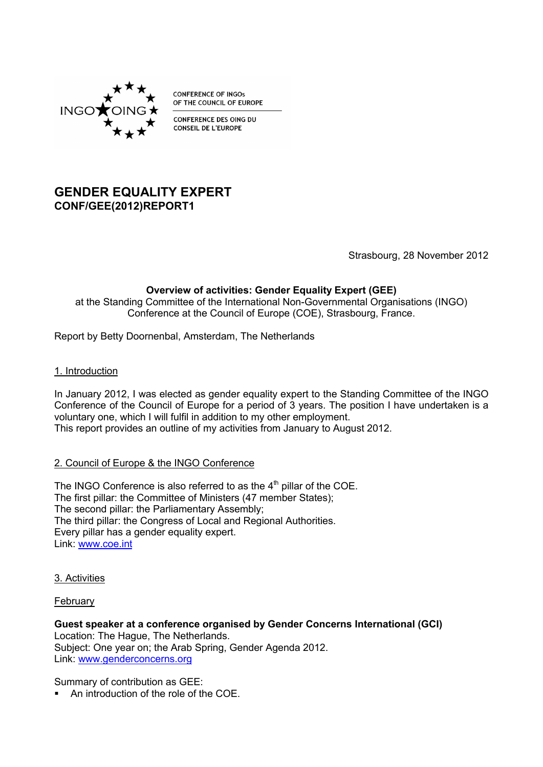

**CONFERENCE OF INGOS** OF THE COUNCIL OF EUROPE

**CONFERENCE DES OING DU CONSEIL DE L'EUROPE** 

# **GENDER EQUALITY EXPERT CONF/GEE(2012)REPORT1**

Strasbourg, 28 November 2012

# **Overview of activities: Gender Equality Expert (GEE)**

at the Standing Committee of the International Non-Governmental Organisations (INGO) Conference at the Council of Europe (COE), Strasbourg, France.

Report by Betty Doornenbal, Amsterdam, The Netherlands

### 1. Introduction

In January 2012, I was elected as gender equality expert to the Standing Committee of the INGO Conference of the Council of Europe for a period of 3 years. The position I have undertaken is a voluntary one, which I will fulfil in addition to my other employment. This report provides an outline of my activities from January to August 2012.

### 2. Council of Europe & the INGO Conference

The INGO Conference is also referred to as the  $4<sup>th</sup>$  pillar of the COE. The first pillar: the Committee of Ministers (47 member States); The second pillar: the Parliamentary Assembly; The third pillar: the Congress of Local and Regional Authorities. Every pillar has a gender equality expert. Link: [www.coe.int](http://www.coe.int/)

#### 3. Activities

### **February**

**Guest speaker at a conference organised by Gender Concerns International (GCI)** Location: The Hague, The Netherlands. Subject: One year on; the Arab Spring, Gender Agenda 2012. Link: [www.genderconcerns.org](http://www.genderconcerns.org/)

Summary of contribution as GEE:

An introduction of the role of the COE.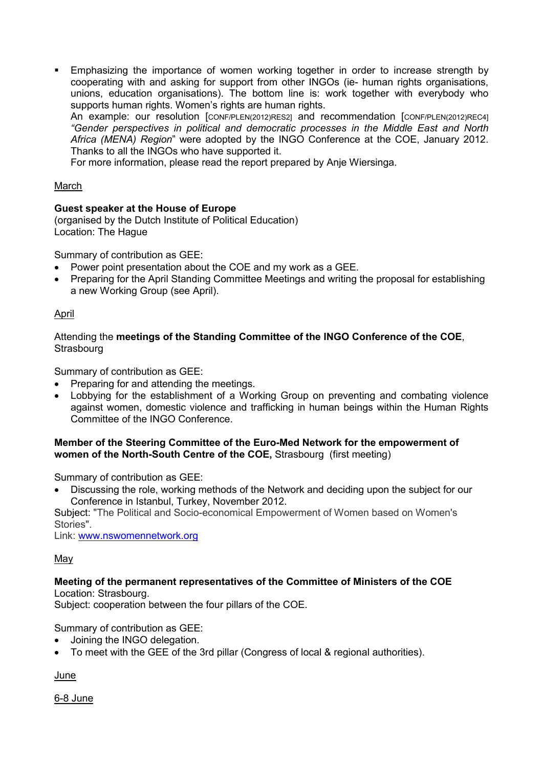**Emphasizing the importance of women working together in order to increase strength by** cooperating with and asking for support from other INGOs (ie- human rights organisations, unions, education organisations). The bottom line is: work together with everybody who supports human rights. Women's rights are human rights.

An example: our resolution [CONF/PLEN(2012)RES2] and recommendation [CONF/PLEN(2012)REC4] *"Gender perspectives in political and democratic processes in the Middle East and North Africa (MENA) Region*" were adopted by the INGO Conference at the COE, January 2012. Thanks to all the INGOs who have supported it.

For more information, please read the report prepared by Anje Wiersinga.

### **March**

# **Guest speaker at the House of Europe**

(organised by the Dutch Institute of Political Education) Location: The Hague

Summary of contribution as GEE:

- Power point presentation about the COE and my work as a GEE.
- Preparing for the April Standing Committee Meetings and writing the proposal for establishing a new Working Group (see April).

# April

Attending the **meetings of the Standing Committee of the INGO Conference of the COE**, **Strasbourg** 

Summary of contribution as GEE:

- Preparing for and attending the meetings.
- Lobbying for the establishment of a Working Group on preventing and combating violence against women, domestic violence and trafficking in human beings within the Human Rights Committee of the INGO Conference.

#### **Member of the Steering Committee of the Euro-Med Network for the empowerment of women of the North-South Centre of the COE,** Strasbourg (first meeting)

Summary of contribution as GEE:

 Discussing the role, working methods of the Network and deciding upon the subject for our Conference in Istanbul, Turkey, November 2012.

Subject: "The Political and Socio-economical Empowerment of Women based on Women's Stories".

Link: [www.nswomennetwork.org](http://www.nswomennetwork.org/) 

### May

#### **Meeting of the permanent representatives of the Committee of Ministers of the COE** Location: Strasbourg.

Subject: cooperation between the four pillars of the COE.

Summary of contribution as GEE:

- Joining the INGO delegation.
- To meet with the GEE of the 3rd pillar (Congress of local & regional authorities).

### June

6-8 June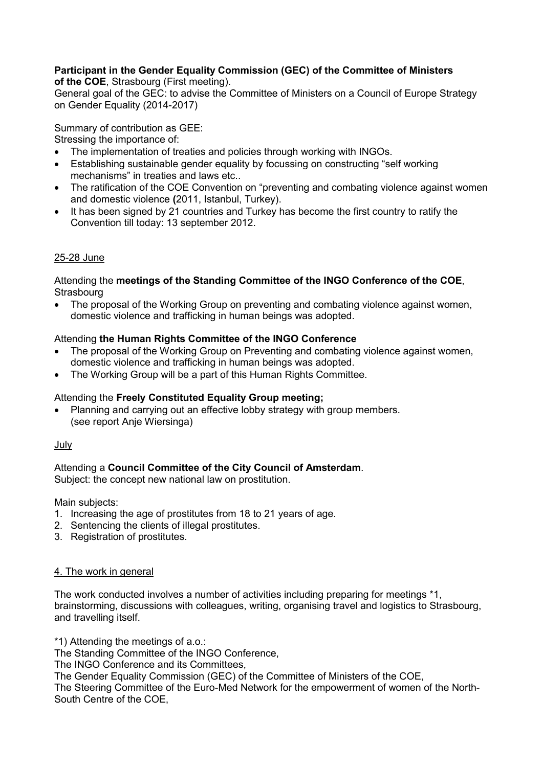#### **Participant in the Gender Equality Commission (GEC) of the Committee of Ministers of the COE**, Strasbourg (First meeting).

General goal of the GEC: to advise the Committee of Ministers on a Council of Europe Strategy on Gender Equality (2014-2017)

Summary of contribution as GEE:

Stressing the importance of:

- The implementation of treaties and policies through working with INGOs.
- Establishing sustainable gender equality by focussing on constructing "self working mechanisms" in treaties and laws etc..
- The ratification of the COE Convention on "preventing and combating violence against women and domestic violence **(**2011, Istanbul, Turkey).
- It has been signed by 21 countries and Turkey has become the first country to ratify the Convention till today: 13 september 2012.

# 25-28 June

#### Attending the **meetings of the Standing Committee of the INGO Conference of the COE**, **Strasbourg**

• The proposal of the Working Group on preventing and combating violence against women, domestic violence and trafficking in human beings was adopted.

# Attending **the Human Rights Committee of the INGO Conference**

- The proposal of the Working Group on Preventing and combating violence against women, domestic violence and trafficking in human beings was adopted.
- The Working Group will be a part of this Human Rights Committee.

# Attending the **Freely Constituted Equality Group meeting;**

 Planning and carrying out an effective lobby strategy with group members. (see report Anje Wiersinga)

### July

# Attending a **Council Committee of the City Council of Amsterdam**.

Subject: the concept new national law on prostitution.

Main subjects:

- 1. Increasing the age of prostitutes from 18 to 21 years of age.
- 2. Sentencing the clients of illegal prostitutes.
- 3. Registration of prostitutes.

### 4. The work in general

The work conducted involves a number of activities including preparing for meetings \*1, brainstorming, discussions with colleagues, writing, organising travel and logistics to Strasbourg, and travelling itself.

\*1) Attending the meetings of a.o.:

The Standing Committee of the INGO Conference,

The INGO Conference and its Committees,

The Gender Equality Commission (GEC) of the Committee of Ministers of the COE,

The Steering Committee of the Euro-Med Network for the empowerment of women of the North-South Centre of the COE,